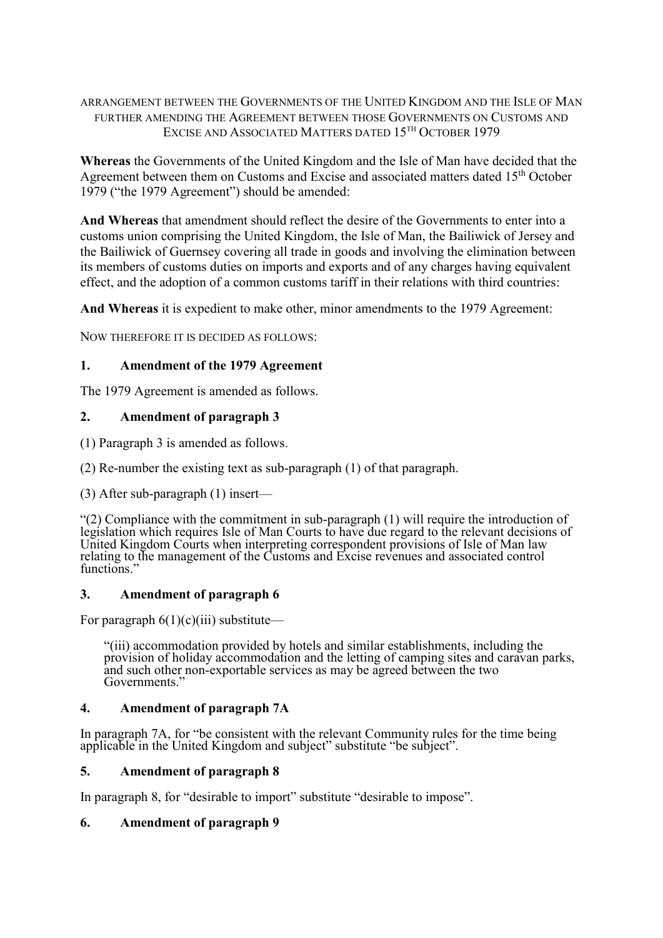## ARRANGEMENT BETWEEN THE GOVERNMENTS OF THE UNITED KINGDOM AND THE ISLE OF MAN FURTHER AMENDING THE AGREEMENT BETWEEN THOSE GOVERNMENTS ON CUSTOMS AND EXCISE AND ASSOCIATED MATTERS DATED 15<sup>TH</sup> OCTOBER 1979

**Whereas** the Governments of the United Kingdom and the Isle of Man have decided that the Agreement between them on Customs and Excise and associated matters dated 15<sup>th</sup> October 1979 ("the 1979 Agreement") should be amended:

**And Whereas** that amendment should reflect the desire of the Governments to enter into a customs union comprising the United Kingdom, the Isle of Man, the Bailiwick of Jersey and the Bailiwick of Guernsey covering all trade in goods and involving the elimination between its members of customs duties on imports and exports and of any charges having equivalent effect, and the adoption of a common customs tariff in their relations with third countries:

**And Whereas** it is expedient to make other, minor amendments to the 1979 Agreement:

NOW THEREFORE IT IS DECIDED AS FOLLOWS:

## **1. Amendment of the 1979 Agreement**

The 1979 Agreement is amended as follows.

## **2. Amendment of paragraph 3**

(1) Paragraph 3 is amended as follows.

(2) Re-number the existing text as sub-paragraph (1) of that paragraph.

(3) After sub-paragraph (1) insert—

"(2) Compliance with the commitment in sub-paragraph (1) will require the introduction of legislation which requires Isle of Man Courts to have due regard to the relevant decisions of United Kingdom Courts when interpreting correspondent provisions of Isle of Man law relating to the management of the Customs and Excise revenues and associated control functions.'

### **3. Amendment of paragraph 6**

For paragraph  $6(1)(c)(iii)$  substitute—

"(iii) accommodation provided by hotels and similar establishments, including the provision of holiday accommodation and the letting of camping sites and caravan parks, and such other non-exportable services as may be agreed between the two Governments."

### **4. Amendment of paragraph 7A**

In paragraph 7A, for "be consistent with the relevant Community rules for the time being applicable in the United Kingdom and subject" substitute "be subject".

### **5. Amendment of paragraph 8**

In paragraph 8, for "desirable to import" substitute "desirable to impose".

### **6. Amendment of paragraph 9**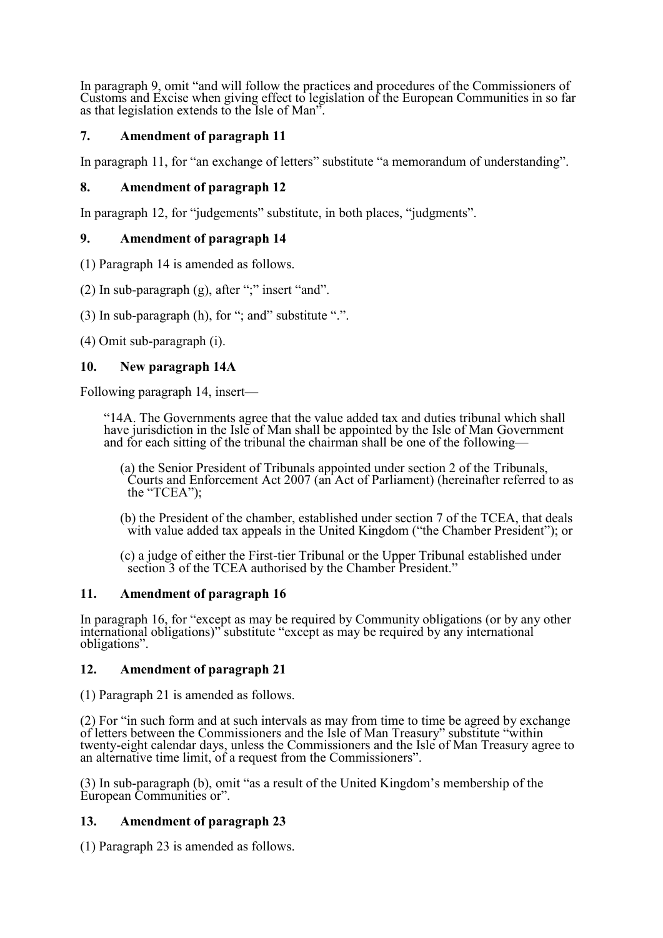In paragraph 9, omit "and will follow the practices and procedures of the Commissioners of Customs and Excise when giving effect to legislation of the European Communities in so far as that legislation extends to the Isle of Man".

# **7. Amendment of paragraph 11**

In paragraph 11, for "an exchange of letters" substitute "a memorandum of understanding".

## **8. Amendment of paragraph 12**

In paragraph 12, for "judgements" substitute, in both places, "judgments".

## **9. Amendment of paragraph 14**

(1) Paragraph 14 is amended as follows.

(2) In sub-paragraph (g), after ";" insert "and".

(3) In sub-paragraph (h), for "; and" substitute ".".

(4) Omit sub-paragraph (i).

## **10. New paragraph 14A**

Following paragraph 14, insert—

"14A. The Governments agree that the value added tax and duties tribunal which shall have jurisdiction in the Isle of Man shall be appointed by the Isle of Man Government and for each sitting of the tribunal the chairman shall be one of the following—

- (a) the Senior President of Tribunals appointed under section 2 of the Tribunals, Courts and Enforcement Act 2007 (an Act of Parliament) (hereinafter referred to as the "TCEA");
- (b) the President of the chamber, established under section 7 of the TCEA, that deals with value added tax appeals in the United Kingdom ("the Chamber President"); or
- (c) a judge of either the First-tier Tribunal or the Upper Tribunal established under section 3 of the TCEA authorised by the Chamber President."

### **11. Amendment of paragraph 16**

In paragraph 16, for "except as may be required by Community obligations (or by any other international obligations)" substitute "except as may be required by any international obligations".

### **12. Amendment of paragraph 21**

(1) Paragraph 21 is amended as follows.

(2) For "in such form and at such intervals as may from time to time be agreed by exchange of letters between the Commissioners and the Isle of Man Treasury" substitute "within twenty-eight calendar days, unless the Commissioners and the Isle of Man Treasury agree to an alternative time limit, of a request from the Commissioners".

(3) In sub-paragraph (b), omit "as a result of the United Kingdom's membership of the European Communities or".

## **13. Amendment of paragraph 23**

(1) Paragraph 23 is amended as follows.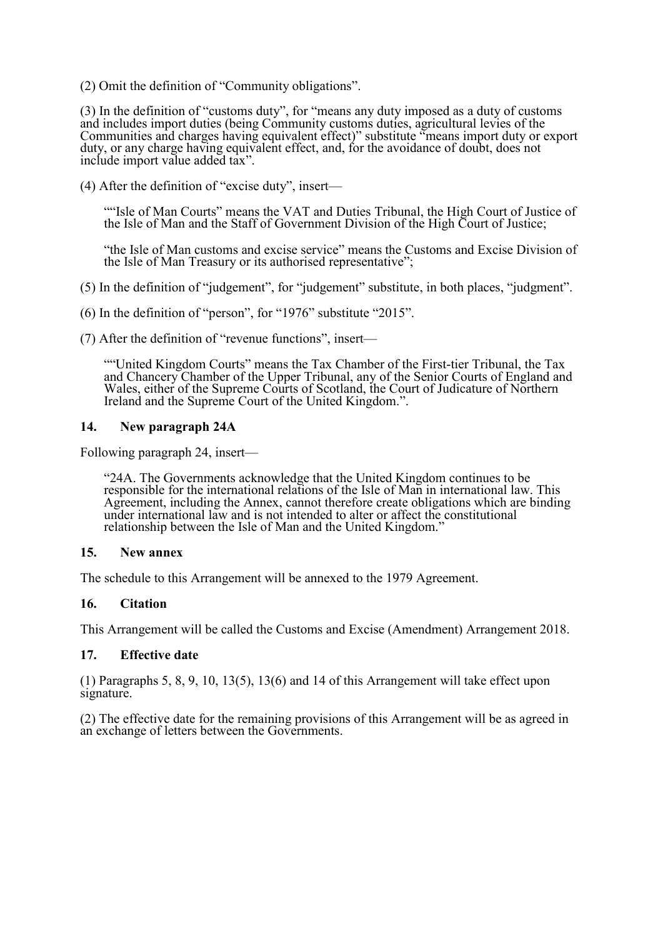(2) Omit the definition of "Community obligations".

(3) In the definition of "customs duty", for "means any duty imposed as a duty of customs and includes import duties (being Community customs duties, agricultural levies of the Communities and charges having equivalent effect)" substitute "means import duty or export duty, or any charge having equivalent effect, and, for the avoidance of doubt, does not include import value added tax".

(4) After the definition of "excise duty", insert—

"Isle of Man Courts" means the VAT and Duties Tribunal, the High Court of Justice of the Isle of Man and the Staff of Government Division of the High Court of Justice;

"the Isle of Man customs and excise service" means the Customs and Excise Division of the Isle of Man Treasury or its authorised representative";

(5) In the definition of "judgement", for "judgement" substitute, in both places, "judgment".

(6) In the definition of "person", for "1976" substitute "2015".

(7) After the definition of "revenue functions", insert—

""United Kingdom Courts" means the Tax Chamber of the First-tier Tribunal, the Tax and Chancery Chamber of the Upper Tribunal, any of the Senior Courts of England and Wales, either of the Supreme Courts of Scotland, the Court of Judicature of Northern Ireland and the Supreme Court of the United Kingdom.".

#### **14. New paragraph 24A**

Following paragraph 24, insert—

"24A. The Governments acknowledge that the United Kingdom continues to be responsible for the international relations of the Isle of Man in international law. This Agreement, including the Annex, cannot therefore create obligations which are binding under international law and is not intended to alter or affect the constitutional relationship between the Isle of Man and the United Kingdom."

#### **15. New annex**

The schedule to this Arrangement will be annexed to the 1979 Agreement.

#### **16. Citation**

This Arrangement will be called the Customs and Excise (Amendment) Arrangement 2018.

#### **17. Effective date**

(1) Paragraphs 5, 8, 9, 10, 13(5), 13(6) and 14 of this Arrangement will take effect upon signature.

(2) The effective date for the remaining provisions of this Arrangement will be as agreed in an exchange of letters between the Governments.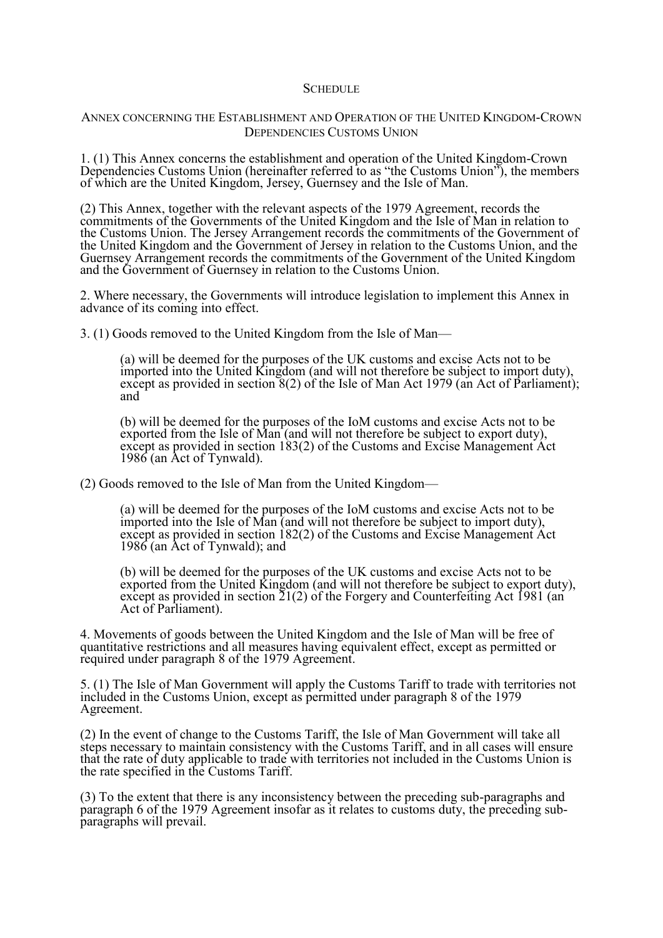#### **SCHEDULE**

#### ANNEX CONCERNING THE ESTABLISHMENT AND OPERATION OF THE UNITED KINGDOM-CROWN DEPENDENCIES CUSTOMS UNION

1. (1) This Annex concerns the establishment and operation of the United Kingdom-Crown Dependencies Customs Union (hereinafter referred to as "the Customs Union"), the members of which are the United Kingdom, Jersey, Guernsey and the Isle of Man.

(2) This Annex, together with the relevant aspects of the 1979 Agreement, records the commitments of the Governments of the United Kingdom and the Isle of Man in relation to the Customs Union. The Jersey Arrangement records the commitments of the Government of the United Kingdom and the Government of Jersey in relation to the Customs Union, and the Guernsey Arrangement records the commitments of the Government of the United Kingdom and the Government of Guernsey in relation to the Customs Union.

2. Where necessary, the Governments will introduce legislation to implement this Annex in advance of its coming into effect.

3. (1) Goods removed to the United Kingdom from the Isle of Man—

(a) will be deemed for the purposes of the UK customs and excise Acts not to be imported into the United Kingdom (and will not therefore be subject to import duty), except as provided in section 8(2) of the Isle of Man Act 1979 (an Act of Parliament); and

(b) will be deemed for the purposes of the IoM customs and excise Acts not to be exported from the Isle of Man (and will not therefore be subject to export duty), except as provided in section 183(2) of the Customs and Excise Management Act 1986 (an Act of Tynwald).

(2) Goods removed to the Isle of Man from the United Kingdom—

(a) will be deemed for the purposes of the IoM customs and excise Acts not to be imported into the Isle of Man (and will not therefore be subject to import duty), except as provided in section 182(2) of the Customs and Excise Management Act 1986 (an Act of Tynwald); and

(b) will be deemed for the purposes of the UK customs and excise Acts not to be exported from the United Kingdom (and will not therefore be subject to export duty), except as provided in section  $\tilde{21}(2)$  of the Forgery and Counterfeiting Act 1981 (an Act of Parliament).

4. Movements of goods between the United Kingdom and the Isle of Man will be free of quantitative restrictions and all measures having equivalent effect, except as permitted or required under paragraph 8 of the 1979 Agreement.

5. (1) The Isle of Man Government will apply the Customs Tariff to trade with territories not included in the Customs Union, except as permitted under paragraph 8 of the 1979 Agreement.

(2) In the event of change to the Customs Tariff, the Isle of Man Government will take all steps necessary to maintain consistency with the Customs Tariff, and in all cases will ensure that the rate of duty applicable to trade with territories not included in the Customs Union is the rate specified in the Customs Tariff.

(3) To the extent that there is any inconsistency between the preceding sub-paragraphs and paragraph 6 of the 1979 Agreement insofar as it relates to customs duty, the preceding subparagraphs will prevail.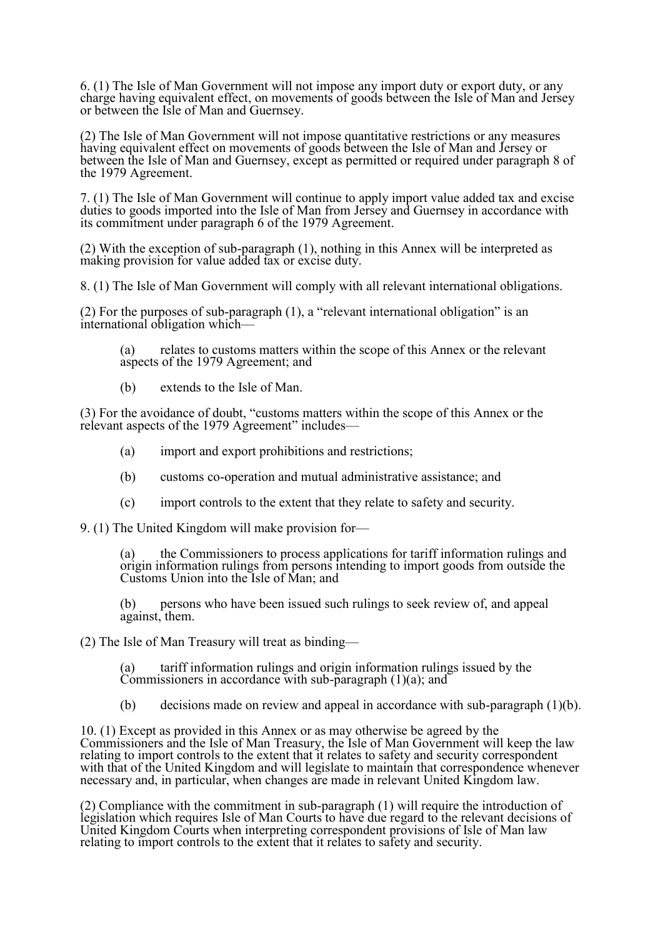6. (1) The Isle of Man Government will not impose any import duty or export duty, or any charge having equivalent effect, on movements of goods between the Isle of Man and Jersey or between the Isle of Man and Guernsey.

(2) The Isle of Man Government will not impose quantitative restrictions or any measures having equivalent effect on movements of goods between the Isle of Man and Jersey or between the Isle of Man and Guernsey, except as permitted or required under paragraph 8 of the 1979 Agreement.

7. (1) The Isle of Man Government will continue to apply import value added tax and excise duties to goods imported into the Isle of Man from Jersey and Guernsey in accordance with its commitment under paragraph 6 of the 1979 Agreement.

(2) With the exception of sub-paragraph (1), nothing in this Annex will be interpreted as making provision for value added tax or excise duty.

8. (1) The Isle of Man Government will comply with all relevant international obligations.

(2) For the purposes of sub-paragraph (1), a "relevant international obligation" is an international obligation which—

(a) relates to customs matters within the scope of this Annex or the relevant aspects of the 1979 Agreement; and

(b) extends to the Isle of Man.

(3) For the avoidance of doubt, "customs matters within the scope of this Annex or the relevant aspects of the 1979 Agreement" includes—

- (a) import and export prohibitions and restrictions;
- (b) customs co-operation and mutual administrative assistance; and
- (c) import controls to the extent that they relate to safety and security.

9. (1) The United Kingdom will make provision for—

(a) the Commissioners to process applications for tariff information rulings and origin information rulings from persons intending to import goods from outside the Customs Union into the Isle of Man; and

(b) persons who have been issued such rulings to seek review of, and appeal against, them.

(2) The Isle of Man Treasury will treat as binding—

(a) tariff information rulings and origin information rulings issued by the Commissioners in accordance with sub-paragraph  $(1)(a)$ ; and

(b) decisions made on review and appeal in accordance with sub-paragraph (1)(b).

10. (1) Except as provided in this Annex or as may otherwise be agreed by the Commissioners and the Isle of Man Treasury, the Isle of Man Government will keep the law relating to import controls to the extent that it relates to safety and security correspondent with that of the United Kingdom and will legislate to maintain that correspondence whenever necessary and, in particular, when changes are made in relevant United Kingdom law.

(2) Compliance with the commitment in sub-paragraph (1) will require the introduction of legislation which requires Isle of Man Courts to have due regard to the relevant decisions of United Kingdom Courts when interpreting correspondent provisions of Isle of Man law relating to import controls to the extent that it relates to safety and security.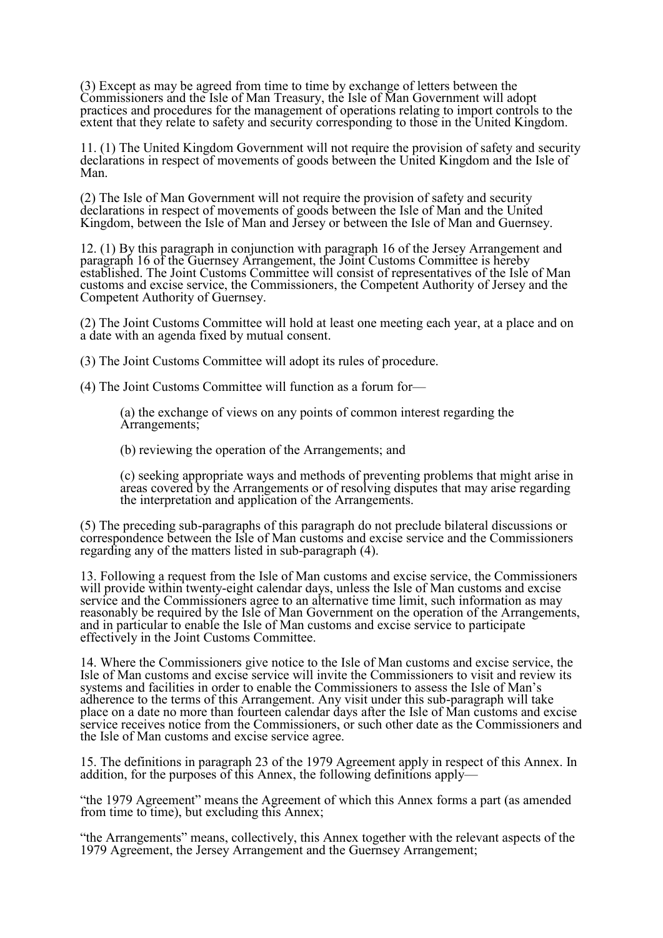(3) Except as may be agreed from time to time by exchange of letters between the Commissioners and the Isle of Man Treasury, the Isle of Man Government will adopt practices and procedures for the management of operations relating to import controls to the extent that they relate to safety and security corresponding to those in the United Kingdom.

11. (1) The United Kingdom Government will not require the provision of safety and security declarations in respect of movements of goods between the United Kingdom and the Isle of Man.

(2) The Isle of Man Government will not require the provision of safety and security declarations in respect of movements of goods between the Isle of Man and the United Kingdom, between the Isle of Man and Jersey or between the Isle of Man and Guernsey.

12. (1) By this paragraph in conjunction with paragraph 16 of the Jersey Arrangement and paragraph 16 of the Guernsey Arrangement, the Joint Customs Committee is hereby established. The Joint Customs Committee will consist of representatives of the Isle of Man customs and excise service, the Commissioners, the Competent Authority of Jersey and the Competent Authority of Guernsey.

(2) The Joint Customs Committee will hold at least one meeting each year, at a place and on a date with an agenda fixed by mutual consent.

(3) The Joint Customs Committee will adopt its rules of procedure.

(4) The Joint Customs Committee will function as a forum for—

(a) the exchange of views on any points of common interest regarding the Arrangements;

(b) reviewing the operation of the Arrangements; and

(c) seeking appropriate ways and methods of preventing problems that might arise in areas covered by the Arrangements or of resolving disputes that may arise regarding the interpretation and application of the Arrangements.

(5) The preceding sub-paragraphs of this paragraph do not preclude bilateral discussions or correspondence between the Isle of Man customs and excise service and the Commissioners regarding any of the matters listed in sub-paragraph (4).

13. Following a request from the Isle of Man customs and excise service, the Commissioners will provide within twenty-eight calendar days, unless the Isle of Man customs and excise service and the Commissioners agree to an alternative time limit, such information as may reasonably be required by the Isle of Man Government on the operation of the Arrangements, and in particular to enable the Isle of Man customs and excise service to participate effectively in the Joint Customs Committee.

14. Where the Commissioners give notice to the Isle of Man customs and excise service, the Isle of Man customs and excise service will invite the Commissioners to visit and review its systems and facilities in order to enable the Commissioners to assess the Isle of Man's adherence to the terms of this Arrangement. Any visit under this sub-paragraph will take place on a date no more than fourteen calendar days after the Isle of Man customs and excise service receives notice from the Commissioners, or such other date as the Commissioners and the Isle of Man customs and excise service agree.

15. The definitions in paragraph 23 of the 1979 Agreement apply in respect of this Annex. In addition, for the purposes of this Annex, the following definitions apply-

"the 1979 Agreement" means the Agreement of which this Annex forms a part (as amended from time to time), but excluding this Annex;

"the Arrangements" means, collectively, this Annex together with the relevant aspects of the 1979 Agreement, the Jersey Arrangement and the Guernsey Arrangement;